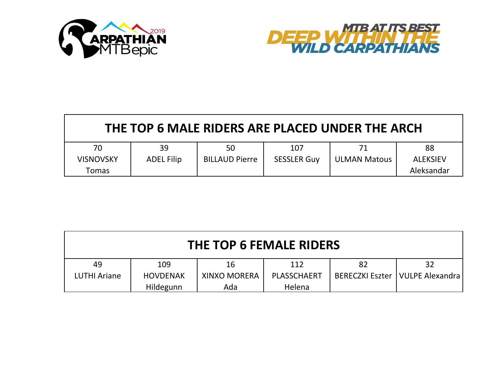



| THE TOP 6 MALE RIDERS ARE PLACED UNDER THE ARCH |                   |                       |                    |                     |                 |  |  |
|-------------------------------------------------|-------------------|-----------------------|--------------------|---------------------|-----------------|--|--|
| 70                                              | 39                | 50                    | 107                | 71                  | 88              |  |  |
| <b>VISNOVSKY</b>                                | <b>ADEL Filip</b> | <b>BILLAUD Pierre</b> | <b>SESSLER Guy</b> | <b>ULMAN Matous</b> | <b>ALEKSIEV</b> |  |  |
| Tomas                                           |                   |                       |                    |                     | Aleksandar      |  |  |

| <b>THE TOP 6 FEMALE RIDERS</b> |                 |                     |             |    |                                   |  |  |
|--------------------------------|-----------------|---------------------|-------------|----|-----------------------------------|--|--|
| 49                             | 109             | 16                  | 112         | 82 | 32                                |  |  |
| LUTHI Ariane                   | <b>HOVDENAK</b> | <b>XINXO MORERA</b> | PLASSCHAERT |    | BERECZKI Eszter   VULPE Alexandra |  |  |
|                                | Hildegunn       | Ada                 | Helena      |    |                                   |  |  |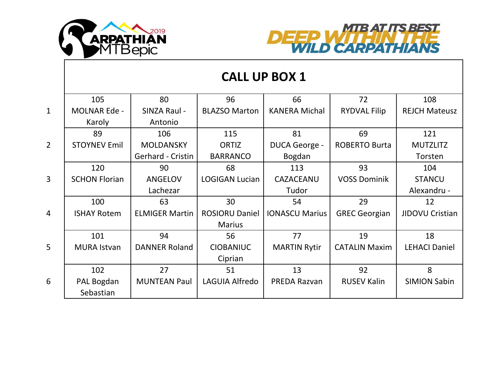



|                |                      |                       |                       | <b>CALL UP BOX 1</b>  |                      |                        |
|----------------|----------------------|-----------------------|-----------------------|-----------------------|----------------------|------------------------|
|                | 105                  | 80                    | 96                    | 66                    | 72                   | 108                    |
| $\mathbf{1}$   | <b>MOLNAR Ede -</b>  | SINZA Raul -          | <b>BLAZSO Marton</b>  | <b>KANERA Michal</b>  | <b>RYDVAL Filip</b>  | <b>REJCH Mateusz</b>   |
|                | Karoly               | Antonio               |                       |                       |                      |                        |
|                | 89                   | 106                   | 115                   | 81                    | 69                   | 121                    |
| $\overline{2}$ | <b>STOYNEV Emil</b>  | <b>MOLDANSKY</b>      | <b>ORTIZ</b>          | DUCA George -         | <b>ROBERTO Burta</b> | <b>MUTZLITZ</b>        |
|                |                      | Gerhard - Cristin     | <b>BARRANCO</b>       | Bogdan                |                      | Torsten                |
|                | 120                  | 90                    | 68                    | 113                   | 93                   | 104                    |
| $\overline{3}$ | <b>SCHON Florian</b> | <b>ANGELOV</b>        | <b>LOGIGAN Lucian</b> | CAZACEANU             | <b>VOSS Dominik</b>  | <b>STANCU</b>          |
|                |                      | Lachezar              |                       | Tudor                 |                      | Alexandru -            |
|                | 100                  | 63                    | 30                    | 54                    | 29                   | 12                     |
| 4              | <b>ISHAY Rotem</b>   | <b>ELMIGER Martin</b> | <b>ROSIORU Daniel</b> | <b>IONASCU Marius</b> | <b>GREC Georgian</b> | <b>JIDOVU Cristian</b> |
|                |                      |                       | <b>Marius</b>         |                       |                      |                        |
|                | 101                  | 94                    | 56                    | 77                    | 19                   | 18                     |
| 5              | <b>MURA Istvan</b>   | <b>DANNER Roland</b>  | <b>CIOBANIUC</b>      | <b>MARTIN Rytir</b>   | <b>CATALIN Maxim</b> | <b>LEHACI Daniel</b>   |
|                |                      |                       | Ciprian               |                       |                      |                        |
|                | 102                  | 27                    | 51                    | 13                    | 92                   | 8                      |
| 6              | PAL Bogdan           | <b>MUNTEAN Paul</b>   | LAGUIA Alfredo        | PREDA Razvan          | <b>RUSEV Kalin</b>   | <b>SIMION Sabin</b>    |
|                | Sebastian            |                       |                       |                       |                      |                        |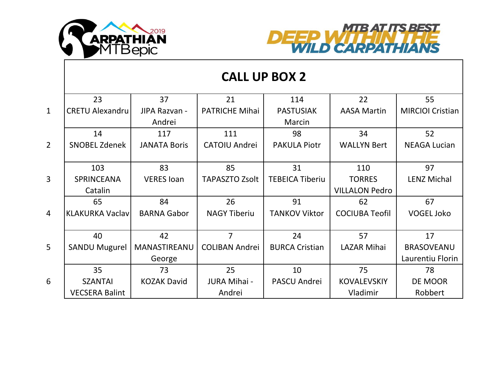



|                | <b>CALL UP BOX 2</b>   |                     |                       |                        |                       |                         |  |
|----------------|------------------------|---------------------|-----------------------|------------------------|-----------------------|-------------------------|--|
|                | 23                     | 37                  | 21                    | 114                    | 22                    | 55                      |  |
| $\mathbf{1}$   | <b>CRETU Alexandru</b> | JIPA Razvan -       | <b>PATRICHE Mihai</b> | <b>PASTUSIAK</b>       | <b>AASA Martin</b>    | <b>MIRCIOI Cristian</b> |  |
|                |                        | Andrei              |                       | Marcin                 |                       |                         |  |
|                | 14                     | 117                 | 111                   | 98                     | 34                    | 52                      |  |
| $\overline{2}$ | <b>SNOBEL Zdenek</b>   | <b>JANATA Boris</b> | <b>CATOIU Andrei</b>  | <b>PAKULA Piotr</b>    | <b>WALLYN Bert</b>    | <b>NEAGA Lucian</b>     |  |
|                |                        |                     |                       |                        |                       |                         |  |
|                | 103                    | 83                  | 85                    | 31                     | 110                   | 97                      |  |
| $\overline{3}$ | <b>SPRINCEANA</b>      | <b>VERES loan</b>   | <b>TAPASZTO Zsolt</b> | <b>TEBEICA Tiberiu</b> | <b>TORRES</b>         | <b>LENZ Michal</b>      |  |
|                | Catalin                |                     |                       |                        | <b>VILLALON Pedro</b> |                         |  |
|                | 65                     | 84                  | 26                    | 91                     | 62                    | 67                      |  |
| $\overline{4}$ | <b>KLAKURKA Vaclav</b> | <b>BARNA Gabor</b>  | <b>NAGY Tiberiu</b>   | <b>TANKOV Viktor</b>   | <b>COCIUBA Teofil</b> | <b>VOGEL Joko</b>       |  |
|                |                        |                     |                       |                        |                       |                         |  |
|                | 40                     | 42                  | 7                     | 24                     | 57                    | 17                      |  |
| $\overline{5}$ | <b>SANDU Mugurel</b>   | MANASTIREANU        | <b>COLIBAN Andrei</b> | <b>BURCA Cristian</b>  | <b>LAZAR Mihai</b>    | <b>BRASOVEANU</b>       |  |
|                |                        | George              |                       |                        |                       | Laurentiu Florin        |  |
|                | 35                     | 73                  | 25                    | 10                     | 75                    | 78                      |  |
| 6              | <b>SZANTAI</b>         | <b>KOZAK David</b>  | JURA Mihai -          | <b>PASCU Andrei</b>    | <b>KOVALEVSKIY</b>    | DE MOOR                 |  |
|                | <b>VECSERA Balint</b>  |                     | Andrei                |                        | Vladimir              | Robbert                 |  |